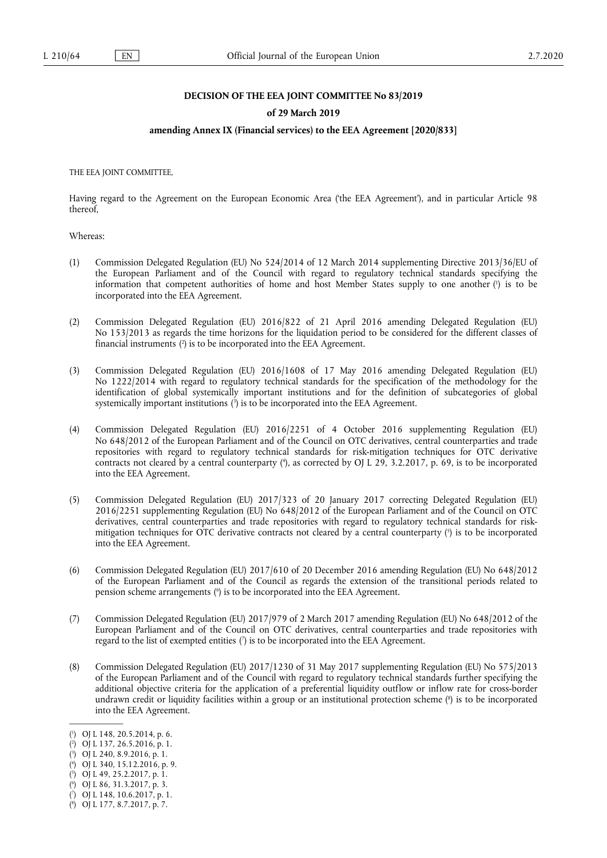## **DECISION OF THE EEA JOINT COMMITTEE No 83/2019**

# **of 29 March 2019**

# **amending Annex IX (Financial services) to the EEA Agreement [2020/833]**

THE EEA JOINT COMMITTEE,

Having regard to the Agreement on the European Economic Area ('the EEA Agreement'), and in particular Article 98 thereof,

Whereas:

- <span id="page-0-8"></span>(1) Commission Delegated Regulation (EU) No 524/2014 of 12 March 2014 supplementing Directive 2013/36/EU of the European Parliament and of the Council with regard to regulatory technical standards specifying the information that competent authorities of home and host Member States supply to one another [\(](#page-0-0) 1 ) is to be incorporated into the EEA Agreement.
- <span id="page-0-9"></span>(2) Commission Delegated Regulation (EU) 2016/822 of 21 April 2016 amending Delegated Regulation (EU) No 153/2013 as regards the time horizons for the liquidation period to be considered for the different classes of financial instruments [\(](#page-0-1) 2 ) is to be incorporated into the EEA Agreement.
- <span id="page-0-10"></span>(3) Commission Delegated Regulation (EU) 2016/1608 of 17 May 2016 amending Delegated Regulation (EU) No 1222/2014 with regard to regulatory technical standards for the specification of the methodology for the identification of global systemically important institutions and for the definition of subcategories of global systemically important institutions [\(](#page-0-2) 3 ) is to be incorporated into the EEA Agreement.
- <span id="page-0-11"></span>(4) Commission Delegated Regulation (EU) 2016/2251 of 4 October 2016 supplementing Regulation (EU) No 648/2012 of the European Parliament and of the Council on OTC derivatives, central counterparties and trade repositories with regard to regulatory technical standards for risk-mitigation techniques for OTC derivative contracts not cleared by a central counterparty [\(](#page-0-3) 4 ), as corrected by OJ L 29, 3.2.2017, p. 69, is to be incorporated into the EEA Agreement.
- <span id="page-0-12"></span>(5) Commission Delegated Regulation (EU) 2017/323 of 20 January 2017 correcting Delegated Regulation (EU) 2016/2251 supplementing Regulation (EU) No 648/2012 of the European Parliament and of the Council on OTC derivatives, central counterparties and trade repositories with regard to regulatory technical standards for riskmitigation techniques for OTC derivative contracts not cleared by a central counterparty ( 5 [\)](#page-0-4) is to be incorporated into the EEA Agreement.
- <span id="page-0-13"></span>(6) Commission Delegated Regulation (EU) 2017/610 of 20 December 2016 amending Regulation (EU) No 648/2012 of the European Parliament and of the Council as regards the extension of the transitional periods related to pension scheme arrangements [\(](#page-0-5) 6 ) is to be incorporated into the EEA Agreement.
- <span id="page-0-14"></span>(7) Commission Delegated Regulation (EU) 2017/979 of 2 March 2017 amending Regulation (EU) No 648/2012 of the European Parliament and of the Council on OTC derivatives, central counterparties and trade repositories with regard to the list of exempted entities [\(](#page-0-6) 7 ) is to be incorporated into the EEA Agreement.
- <span id="page-0-15"></span>(8) Commission Delegated Regulation (EU) 2017/1230 of 31 May 2017 supplementing Regulation (EU) No 575/2013 of the European Parliament and of the Council with regard to regulatory technical standards further specifying the additional objective criteria for the application of a preferential liquidity outflow or inflow rate for cross-border undrawn credit or liquidity facilities within a group or an institutional protection scheme [\(](#page-0-7) 8 ) is to be incorporated into the EEA Agreement.

<span id="page-0-3"></span>[\(](#page-0-11) 4 ) OJ L 340, 15.12.2016, p. 9.

- <span id="page-0-5"></span>[\(](#page-0-13) 6 ) OJ L 86, 31.3.2017, p. 3.
- <span id="page-0-6"></span>[\(](#page-0-14) 7 ) OJ L 148, 10.6.2017, p. 1.

<span id="page-0-0"></span>[<sup>\(</sup>](#page-0-8) 1 ) OJ L 148, 20.5.2014, p. 6.

<span id="page-0-1"></span>[<sup>\(</sup>](#page-0-9) 2 ) OJ L 137, 26.5.2016, p. 1.

<span id="page-0-2"></span>[<sup>\(</sup>](#page-0-10) 3 ) OJ L 240, 8.9.2016, p. 1.

<span id="page-0-4"></span>[<sup>\(</sup>](#page-0-12) 5 ) OJ L 49, 25.2.2017, p. 1.

<span id="page-0-7"></span><sup>(</sup> 8 [\)](#page-0-15) OJ L 177, 8.7.2017, p. 7.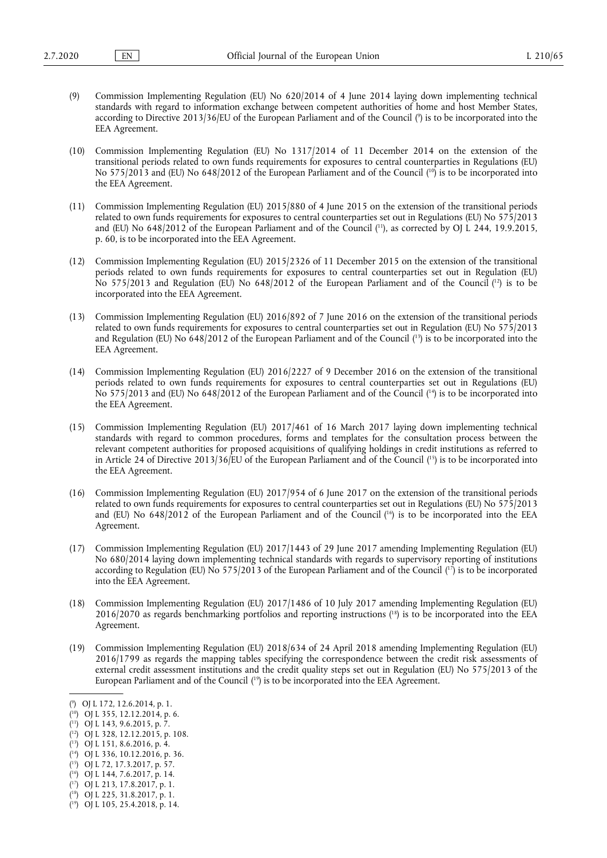- <span id="page-1-11"></span>(9) Commission Implementing Regulation (EU) No 620/2014 of 4 June 2014 laying down implementing technical standards with regard to information exchange between competent authorities of home and host Member States, according to Directive 2013/36/EU of the European Parliament and of the Council ( 9 [\)](#page-1-0) is to be incorporated into the EEA Agreement.
- <span id="page-1-12"></span>(10) Commission Implementing Regulation (EU) No 1317/2014 of 11 December 2014 on the extension of the transitional periods related to own funds requirements for exposures to central counterparties in Regulations (EU) No 575/2013 and (EU) No 648/2012 of the European Parliament and of the Council ( [10\)](#page-1-1) is to be incorporated into the EEA Agreement.
- <span id="page-1-13"></span>(11) Commission Implementing Regulation (EU) 2015/880 of 4 June 2015 on the extension of the transitional periods related to own funds requirements for exposures to central counterparties set out in Regulations (EU) No 575/2013 and (EU) No 648/2012 of the European Parliament and of the Council (<sup>11</sup>), as corrected by OJ L 244, 19.9.2015, p. 60, is to be incorporated into the EEA Agreement.
- <span id="page-1-14"></span>(12) Commission Implementing Regulation (EU) 2015/2326 of 11 December 2015 on the extension of the transitional periods related to own funds requirements for exposures to central counterparties set out in Regulation (EU) No 575/2013 and Regulation (EU) No 648/2012 of the European Parliament and of the Council ( [12\)](#page-1-3) is to be incorporated into the EEA Agreement.
- <span id="page-1-15"></span>(13) Commission Implementing Regulation (EU) 2016/892 of 7 June 2016 on the extension of the transitional periods related to own funds requirements for exposures to central counterparties set out in Regulation (EU) No 575/2013 and Regulation (EU) No 648/2012 of the European Parliament and of the Council ( [13\)](#page-1-4) is to be incorporated into the EEA Agreement.
- <span id="page-1-16"></span>(14) Commission Implementing Regulation (EU) 2016/2227 of 9 December 2016 on the extension of the transitional periods related to own funds requirements for exposures to central counterparties set out in Regulations (EU) No 575/2013 and (EU) No 648/2012 of the European Parliament and of the Council ( [14\)](#page-1-5) is to be incorporated into the EEA Agreement.
- <span id="page-1-17"></span>(15) Commission Implementing Regulation (EU) 2017/461 of 16 March 2017 laying down implementing technical standards with regard to common procedures, forms and templates for the consultation process between the relevant competent authorities for proposed acquisitions of qualifying holdings in credit institutions as referred to in Article 24 of Directive 2013/36/EU of the European Parliament and of the Council ( [15\)](#page-1-6) is to be incorporated into the EEA Agreement.
- <span id="page-1-18"></span>(16) Commission Implementing Regulation (EU) 2017/954 of 6 June 2017 on the extension of the transitional periods related to own funds requirements for exposures to central counterparties set out in Regulations (EU) No 575/2013 and (EU) No 648/2012 of the European Parliament and of the Council ( [16\)](#page-1-7) is to be incorporated into the EEA Agreement.
- <span id="page-1-19"></span>(17) Commission Implementing Regulation (EU) 2017/1443 of 29 June 2017 amending Implementing Regulation (EU) No 680/2014 laying down implementing technical standards with regards to supervisory reporting of institutions according to Regulation (EU) No 575/2013 of the European Parliament and of the Council ( [17\)](#page-1-8) is to be incorporated into the EEA Agreement.
- <span id="page-1-20"></span>(18) Commission Implementing Regulation (EU) 2017/1486 of 10 July 2017 amending Implementing Regulation (EU) 2016/2070 as regards benchmarking portfolios and reporting instructions ( [18\)](#page-1-9) is to be incorporated into the EEA Agreement.
- <span id="page-1-21"></span>(19) Commission Implementing Regulation (EU) 2018/634 of 24 April 2018 amending Implementing Regulation (EU) 2016/1799 as regards the mapping tables specifying the correspondence between the credit risk assessments of external credit assessment institutions and the credit quality steps set out in Regulation (EU) No 575/2013 of the European Parliament and of the Council ( [19\)](#page-1-10) is to be incorporated into the EEA Agreement.

<span id="page-1-6"></span>( [15\)](#page-1-17) OJ L 72, 17.3.2017, p. 57.

<span id="page-1-8"></span>( [17\)](#page-1-19) OJ L 213, 17.8.2017, p. 1.

<span id="page-1-0"></span>[<sup>\(</sup>](#page-1-11) 9 ) OJ L 172, 12.6.2014, p. 1.

<span id="page-1-1"></span><sup>(</sup> [10\)](#page-1-12) OJ L 355, 12.12.2014, p. 6.

<span id="page-1-2"></span><sup>(</sup> [11\)](#page-1-13) OJ L 143, 9.6.2015, p. 7.

<span id="page-1-3"></span><sup>(</sup> [12\)](#page-1-14) OJ L 328, 12.12.2015, p. 108.

<span id="page-1-4"></span><sup>(</sup> [13\)](#page-1-15) OJ L 151, 8.6.2016, p. 4.

<span id="page-1-5"></span><sup>(</sup> [14\)](#page-1-16) OJ L 336, 10.12.2016, p. 36.

<span id="page-1-7"></span><sup>(</sup> [16\)](#page-1-18) OJ L 144, 7.6.2017, p. 14.

<span id="page-1-9"></span><sup>(</sup> [18\)](#page-1-20) OJ L 225, 31.8.2017, p. 1.

<span id="page-1-10"></span><sup>(</sup> [19\)](#page-1-21) OJ L 105, 25.4.2018, p. 14.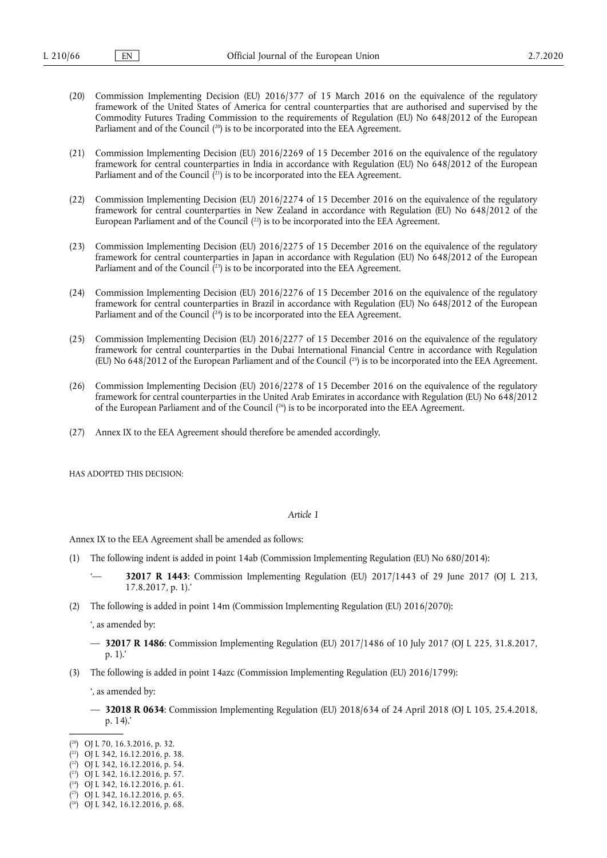- (20) Commission Implementing Decision (EU) 2016/377 of 15 March 2016 on the equivalence of the regulatory framework of the United States of America for central counterparties that are authorised and supervised by the Commodity Futures Trading Commission to the requirements of Regulation (EU) No 648/2012 of the European Parliament and of the Council (<sup>20</sup>) is to be incorporated into the EEA Agreement.
- <span id="page-2-8"></span><span id="page-2-7"></span>(21) Commission Implementing Decision (EU) 2016/2269 of 15 December 2016 on the equivalence of the regulatory framework for central counterparties in India in accordance with Regulation (EU) No 648/2012 of the European Parliament and of the Council ( [21\)](#page-2-1) is to be incorporated into the EEA Agreement.
- <span id="page-2-9"></span>(22) Commission Implementing Decision (EU) 2016/2274 of 15 December 2016 on the equivalence of the regulatory framework for central counterparties in New Zealand in accordance with Regulation (EU) No 648/2012 of the European Parliament and of the Council ( [22\)](#page-2-2) is to be incorporated into the EEA Agreement.
- <span id="page-2-10"></span>(23) Commission Implementing Decision (EU) 2016/2275 of 15 December 2016 on the equivalence of the regulatory framework for central counterparties in Japan in accordance with Regulation (EU) No 648/2012 of the European Parliament and of the Council (<sup>23</sup>) is to be incorporated into the EEA Agreement.
- <span id="page-2-11"></span>(24) Commission Implementing Decision (EU) 2016/2276 of 15 December 2016 on the equivalence of the regulatory framework for central counterparties in Brazil in accordance with Regulation (EU) No 648/2012 of the European Parliament and of the Council (<sup>24</sup>) is to be incorporated into the EEA Agreement.
- <span id="page-2-12"></span>(25) Commission Implementing Decision (EU) 2016/2277 of 15 December 2016 on the equivalence of the regulatory framework for central counterparties in the Dubai International Financial Centre in accordance with Regulation (EU) No  $648/2012$  of the European Parliament and of the Council  $(^{25})$  is to be incorporated into the EEA Agreement.
- <span id="page-2-13"></span>(26) Commission Implementing Decision (EU) 2016/2278 of 15 December 2016 on the equivalence of the regulatory framework for central counterparties in the United Arab Emirates in accordance with Regulation (EU) No 648/2012 of the European Parliament and of the Council  $(26)$  is to be incorporated into the EEA Agreement.
- (27) Annex IX to the EEA Agreement should therefore be amended accordingly,

HAS ADOPTED THIS DECISION:

#### *Article 1*

Annex IX to the EEA Agreement shall be amended as follows:

- (1) The following indent is added in point 14ab (Commission Implementing Regulation (EU) No 680/2014):
	- **32017 R 1443**: Commission Implementing Regulation (EU) 2017/1443 of 29 June 2017 (OJ L 213, 17.8.2017, p. 1).'
- (2) The following is added in point 14m (Commission Implementing Regulation (EU) 2016/2070):

', as amended by:

- **32017 R 1486**: Commission Implementing Regulation (EU) 2017/1486 of 10 July 2017 (OJ L 225, 31.8.2017, p. 1).'
- (3) The following is added in point 14azc (Commission Implementing Regulation (EU) 2016/1799):

', as amended by:

— **32018 R 0634**: Commission Implementing Regulation (EU) 2018/634 of 24 April 2018 (OJ L 105, 25.4.2018, p. 14).'

<span id="page-2-0"></span><sup>(</sup> [20\)](#page-2-7) OJ L 70, 16.3.2016, p. 32.

<span id="page-2-1"></span><sup>(</sup> [21\)](#page-2-8) OJ L 342, 16.12.2016, p. 38.

<span id="page-2-2"></span><sup>(</sup> [22\)](#page-2-9) OJ L 342, 16.12.2016, p. 54.

<span id="page-2-3"></span><sup>(</sup> [23\)](#page-2-10) OJ L 342, 16.12.2016, p. 57.

<span id="page-2-4"></span><sup>(</sup> [24\)](#page-2-11) OJ L 342, 16.12.2016, p. 61.

<span id="page-2-5"></span><sup>(</sup> [25\)](#page-2-12) OJ L 342, 16.12.2016, p. 65.

<span id="page-2-6"></span><sup>(</sup> [26\)](#page-2-13) OJ L 342, 16.12.2016, p. 68.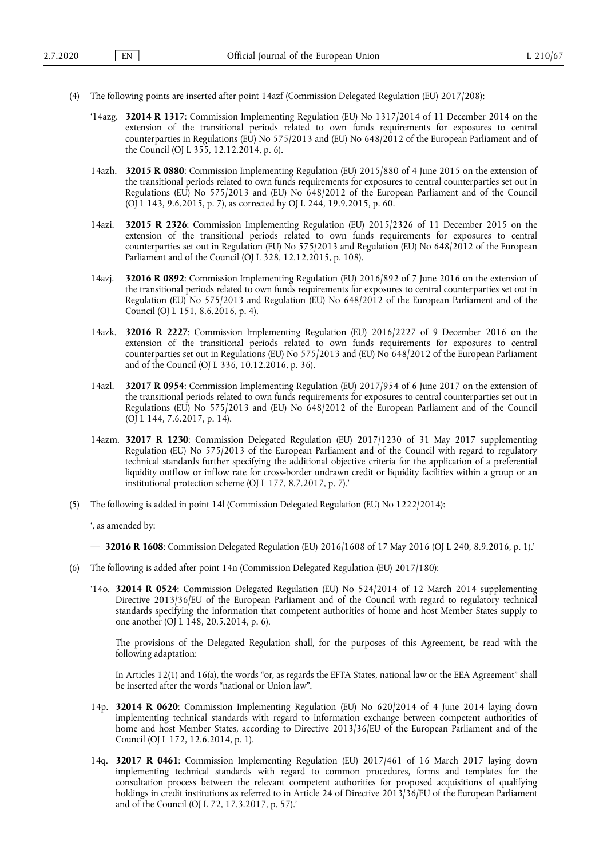- (4) The following points are inserted after point 14azf (Commission Delegated Regulation (EU) 2017/208):
	- '14azg. **32014 R 1317**: Commission Implementing Regulation (EU) No 1317/2014 of 11 December 2014 on the extension of the transitional periods related to own funds requirements for exposures to central counterparties in Regulations (EU) No 575/2013 and (EU) No 648/2012 of the European Parliament and of the Council (OJ L 355, 12.12.2014, p. 6).
	- 14azh. **32015 R 0880**: Commission Implementing Regulation (EU) 2015/880 of 4 June 2015 on the extension of the transitional periods related to own funds requirements for exposures to central counterparties set out in Regulations (EU) No 575/2013 and (EU) No 648/2012 of the European Parliament and of the Council (OJ L 143, 9.6.2015, p. 7), as corrected by OJ L 244, 19.9.2015, p. 60.
	- 14azi. **32015 R 2326**: Commission Implementing Regulation (EU) 2015/2326 of 11 December 2015 on the extension of the transitional periods related to own funds requirements for exposures to central counterparties set out in Regulation (EU) No 575/2013 and Regulation (EU) No 648/2012 of the European Parliament and of the Council (OJ L 328, 12.12.2015, p. 108).
	- 14azj. **32016 R 0892**: Commission Implementing Regulation (EU) 2016/892 of 7 June 2016 on the extension of the transitional periods related to own funds requirements for exposures to central counterparties set out in Regulation (EU) No 575/2013 and Regulation (EU) No 648/2012 of the European Parliament and of the Council (OJ L 151, 8.6.2016, p. 4).
	- 14azk. **32016 R 2227**: Commission Implementing Regulation (EU) 2016/2227 of 9 December 2016 on the extension of the transitional periods related to own funds requirements for exposures to central counterparties set out in Regulations (EU) No 575/2013 and (EU) No 648/2012 of the European Parliament and of the Council (OJ L 336, 10.12.2016, p. 36).
	- 14azl. **32017 R 0954**: Commission Implementing Regulation (EU) 2017/954 of 6 June 2017 on the extension of the transitional periods related to own funds requirements for exposures to central counterparties set out in Regulations (EU) No 575/2013 and (EU) No 648/2012 of the European Parliament and of the Council (OJ L 144, 7.6.2017, p. 14).
	- 14azm. **32017 R 1230**: Commission Delegated Regulation (EU) 2017/1230 of 31 May 2017 supplementing Regulation (EU) No 575/2013 of the European Parliament and of the Council with regard to regulatory technical standards further specifying the additional objective criteria for the application of a preferential liquidity outflow or inflow rate for cross-border undrawn credit or liquidity facilities within a group or an institutional protection scheme (OJ L 177, 8.7.2017, p. 7).'
- (5) The following is added in point 14l (Commission Delegated Regulation (EU) No 1222/2014):

', as amended by:

— **32016 R 1608**: Commission Delegated Regulation (EU) 2016/1608 of 17 May 2016 (OJ L 240, 8.9.2016, p. 1).'

- (6) The following is added after point 14n (Commission Delegated Regulation (EU) 2017/180):
	- '14o. **32014 R 0524**: Commission Delegated Regulation (EU) No 524/2014 of 12 March 2014 supplementing Directive 2013/36/EU of the European Parliament and of the Council with regard to regulatory technical standards specifying the information that competent authorities of home and host Member States supply to one another (OJ L 148, 20.5.2014, p. 6).

The provisions of the Delegated Regulation shall, for the purposes of this Agreement, be read with the following adaptation:

In Articles 12(1) and 16(a), the words "or, as regards the EFTA States, national law or the EEA Agreement" shall be inserted after the words "national or Union law".

- 14p. **32014 R 0620**: Commission Implementing Regulation (EU) No 620/2014 of 4 June 2014 laying down implementing technical standards with regard to information exchange between competent authorities of home and host Member States, according to Directive 2013/36/EU of the European Parliament and of the Council (OJ L 172, 12.6.2014, p. 1).
- 14q. **32017 R 0461**: Commission Implementing Regulation (EU) 2017/461 of 16 March 2017 laying down implementing technical standards with regard to common procedures, forms and templates for the consultation process between the relevant competent authorities for proposed acquisitions of qualifying holdings in credit institutions as referred to in Article 24 of Directive 2013/36/EU of the European Parliament and of the Council (OJ L 72, 17.3.2017, p. 57).'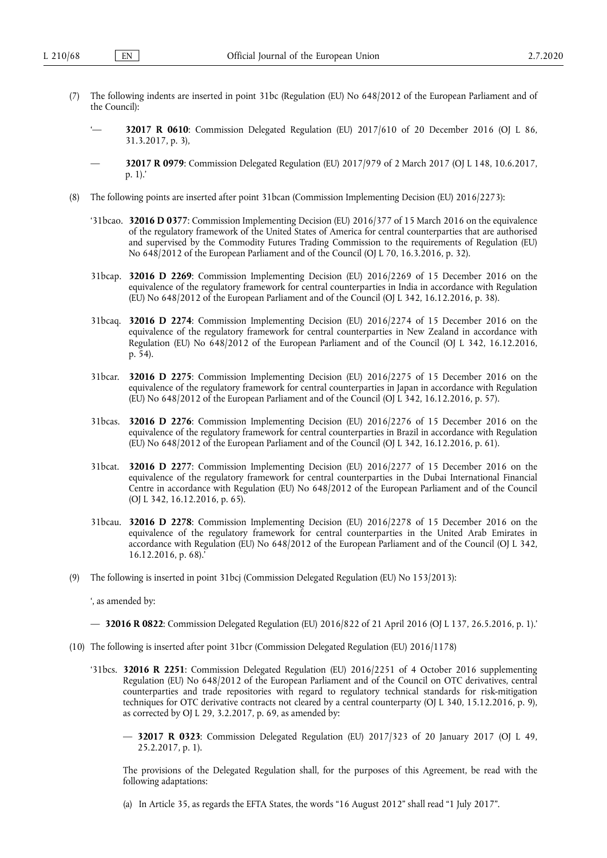- (7) The following indents are inserted in point 31bc (Regulation (EU) No 648/2012 of the European Parliament and of the Council):
	- '— **32017 R 0610**: Commission Delegated Regulation (EU) 2017/610 of 20 December 2016 (OJ L 86, 31.3.2017, p. 3),
	- **32017 R 0979**: Commission Delegated Regulation (EU) 2017/979 of 2 March 2017 (OJ L 148, 10.6.2017, p. 1).'
- (8) The following points are inserted after point 31bcan (Commission Implementing Decision (EU) 2016/2273):
	- '31bcao. **32016 D 0377**: Commission Implementing Decision (EU) 2016/377 of 15 March 2016 on the equivalence of the regulatory framework of the United States of America for central counterparties that are authorised and supervised by the Commodity Futures Trading Commission to the requirements of Regulation (EU) No 648/2012 of the European Parliament and of the Council (OJ L 70, 16.3.2016, p. 32).
	- 31bcap. **32016 D 2269**: Commission Implementing Decision (EU) 2016/2269 of 15 December 2016 on the equivalence of the regulatory framework for central counterparties in India in accordance with Regulation (EU) No 648/2012 of the European Parliament and of the Council (OJ L 342, 16.12.2016, p. 38).
	- 31bcaq. **32016 D 2274**: Commission Implementing Decision (EU) 2016/2274 of 15 December 2016 on the equivalence of the regulatory framework for central counterparties in New Zealand in accordance with Regulation (EU) No 648/2012 of the European Parliament and of the Council (OJ L 342, 16.12.2016, p. 54).
	- 31bcar. **32016 D 2275**: Commission Implementing Decision (EU) 2016/2275 of 15 December 2016 on the equivalence of the regulatory framework for central counterparties in Japan in accordance with Regulation (EU) No 648/2012 of the European Parliament and of the Council (OJ L 342, 16.12.2016, p. 57).
	- 31bcas. **32016 D 2276**: Commission Implementing Decision (EU) 2016/2276 of 15 December 2016 on the equivalence of the regulatory framework for central counterparties in Brazil in accordance with Regulation (EU) No 648/2012 of the European Parliament and of the Council (OJ L 342, 16.12.2016, p. 61).
	- 31bcat. **32016 D 2277**: Commission Implementing Decision (EU) 2016/2277 of 15 December 2016 on the equivalence of the regulatory framework for central counterparties in the Dubai International Financial Centre in accordance with Regulation (EU) No 648/2012 of the European Parliament and of the Council (OJ L 342, 16.12.2016, p. 65).
	- 31bcau. **32016 D 2278**: Commission Implementing Decision (EU) 2016/2278 of 15 December 2016 on the equivalence of the regulatory framework for central counterparties in the United Arab Emirates in accordance with Regulation (EU) No 648/2012 of the European Parliament and of the Council (OJ L 342, 16.12.2016, p. 68).'
- (9) The following is inserted in point 31bcj (Commission Delegated Regulation (EU) No 153/2013):

', as amended by:

- **32016 R 0822**: Commission Delegated Regulation (EU) 2016/822 of 21 April 2016 (OJ L 137, 26.5.2016, p. 1).'
- (10) The following is inserted after point 31bcr (Commission Delegated Regulation (EU) 2016/1178)
	- '31bcs. **32016 R 2251**: Commission Delegated Regulation (EU) 2016/2251 of 4 October 2016 supplementing Regulation (EU) No 648/2012 of the European Parliament and of the Council on OTC derivatives, central counterparties and trade repositories with regard to regulatory technical standards for risk-mitigation techniques for OTC derivative contracts not cleared by a central counterparty (OJ L 340, 15.12.2016, p. 9), as corrected by OJ L 29, 3.2.2017, p. 69, as amended by:
		- **32017 R 0323**: Commission Delegated Regulation (EU) 2017/323 of 20 January 2017 (OJ L 49, 25.2.2017, p. 1).

The provisions of the Delegated Regulation shall, for the purposes of this Agreement, be read with the following adaptations:

(a) In Article 35, as regards the EFTA States, the words "16 August 2012" shall read "1 July 2017".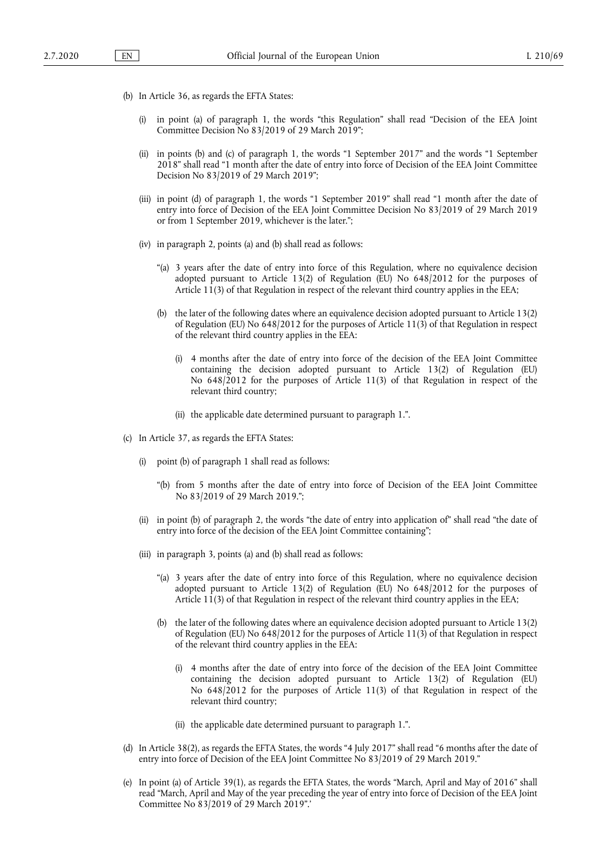- (b) In Article 36, as regards the EFTA States:
	- (i) in point (a) of paragraph 1, the words "this Regulation" shall read "Decision of the EEA Joint Committee Decision No 83/2019 of 29 March 2019";
	- (ii) in points (b) and (c) of paragraph 1, the words "1 September 2017" and the words "1 September 2018" shall read "1 month after the date of entry into force of Decision of the EEA Joint Committee Decision No 83/2019 of 29 March 2019";
	- (iii) in point (d) of paragraph 1, the words "1 September 2019" shall read "1 month after the date of entry into force of Decision of the EEA Joint Committee Decision No 83/2019 of 29 March 2019 or from 1 September 2019, whichever is the later.";
	- (iv) in paragraph 2, points (a) and (b) shall read as follows:
		- "(a) 3 years after the date of entry into force of this Regulation, where no equivalence decision adopted pursuant to Article 13(2) of Regulation (EU) No 648/2012 for the purposes of Article 11(3) of that Regulation in respect of the relevant third country applies in the EEA;
		- (b) the later of the following dates where an equivalence decision adopted pursuant to Article 13(2) of Regulation (EU) No 648/2012 for the purposes of Article 11(3) of that Regulation in respect of the relevant third country applies in the EEA:
			- (i) 4 months after the date of entry into force of the decision of the EEA Joint Committee containing the decision adopted pursuant to Article 13(2) of Regulation (EU) No 648/2012 for the purposes of Article 11(3) of that Regulation in respect of the relevant third country;
			- (ii) the applicable date determined pursuant to paragraph 1.".
- (c) In Article 37, as regards the EFTA States:
	- (i) point (b) of paragraph 1 shall read as follows:
		- "(b) from 5 months after the date of entry into force of Decision of the EEA Joint Committee No 83/2019 of 29 March 2019.";
	- (ii) in point (b) of paragraph 2, the words "the date of entry into application of" shall read "the date of entry into force of the decision of the EEA Joint Committee containing";
	- (iii) in paragraph 3, points (a) and (b) shall read as follows:
		- "(a) 3 years after the date of entry into force of this Regulation, where no equivalence decision adopted pursuant to Article 13(2) of Regulation (EU) No 648/2012 for the purposes of Article 11(3) of that Regulation in respect of the relevant third country applies in the EEA;
		- (b) the later of the following dates where an equivalence decision adopted pursuant to Article 13(2) of Regulation (EU) No 648/2012 for the purposes of Article 11(3) of that Regulation in respect of the relevant third country applies in the EEA:
			- (i) 4 months after the date of entry into force of the decision of the EEA Joint Committee containing the decision adopted pursuant to Article 13(2) of Regulation (EU) No 648/2012 for the purposes of Article 11(3) of that Regulation in respect of the relevant third country;
			- (ii) the applicable date determined pursuant to paragraph 1.".
- (d) In Article 38(2), as regards the EFTA States, the words "4 July 2017" shall read "6 months after the date of entry into force of Decision of the EEA Joint Committee No 83/2019 of 29 March 2019."
- (e) In point (a) of Article 39(1), as regards the EFTA States, the words "March, April and May of 2016" shall read "March, April and May of the year preceding the year of entry into force of Decision of the EEA Joint Committee No 83/2019 of 29 March 2019".'